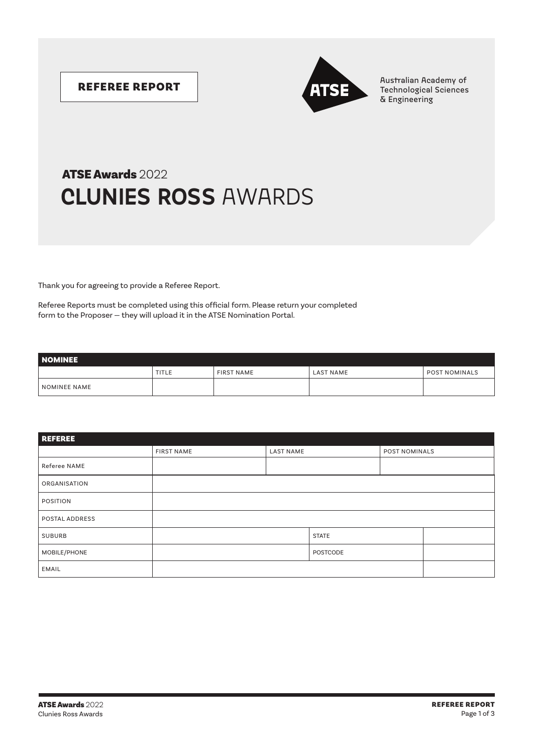

REFEREE REPORT Australian Academy of Australian Academy of Australian Academy of Technological Sciences & Engineering

## **CLUNIES ROSS** AWARDS ATSE Awards 2022

Thank you for agreeing to provide a Referee Report.

Referee Reports must be completed using this official form. Please return your completed form to the Proposer — they will upload it in the ATSE Nomination Portal.

| <b>NOMINEE</b> |              |                   |                  |                      |  |  |  |
|----------------|--------------|-------------------|------------------|----------------------|--|--|--|
|                | <b>TITLE</b> | <b>FIRST NAME</b> | <b>LAST NAME</b> | <b>POST NOMINALS</b> |  |  |  |
| NOMINEE NAME   |              |                   |                  |                      |  |  |  |

| <b>REFEREE</b> |                   |                  |              |               |  |  |  |  |
|----------------|-------------------|------------------|--------------|---------------|--|--|--|--|
|                | <b>FIRST NAME</b> | <b>LAST NAME</b> |              | POST NOMINALS |  |  |  |  |
| Referee NAME   |                   |                  |              |               |  |  |  |  |
| ORGANISATION   |                   |                  |              |               |  |  |  |  |
| POSITION       |                   |                  |              |               |  |  |  |  |
| POSTAL ADDRESS |                   |                  |              |               |  |  |  |  |
| SUBURB         |                   |                  | <b>STATE</b> |               |  |  |  |  |
| MOBILE/PHONE   |                   |                  | POSTCODE     |               |  |  |  |  |
| EMAIL          |                   |                  |              |               |  |  |  |  |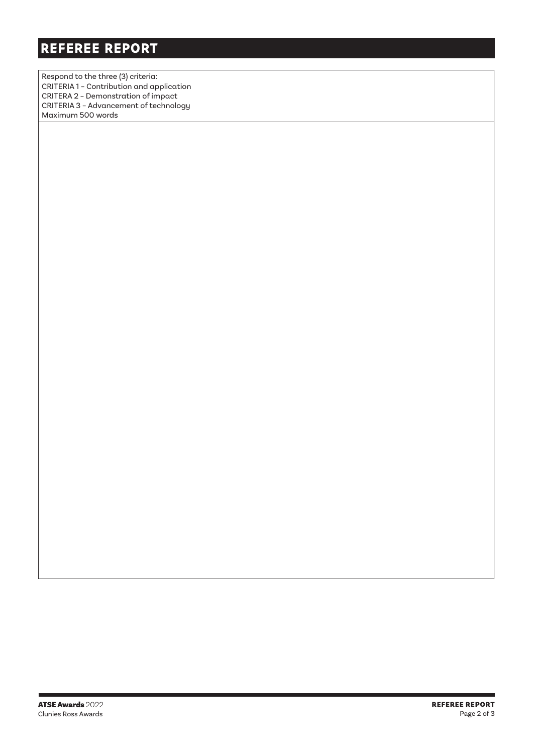Respond to the three (3) criteria: CRITERIA 1 – Contribution and application CRITERA 2 – Demonstration of impact CRITERIA 3 – Advancement of technology Maximum 500 words